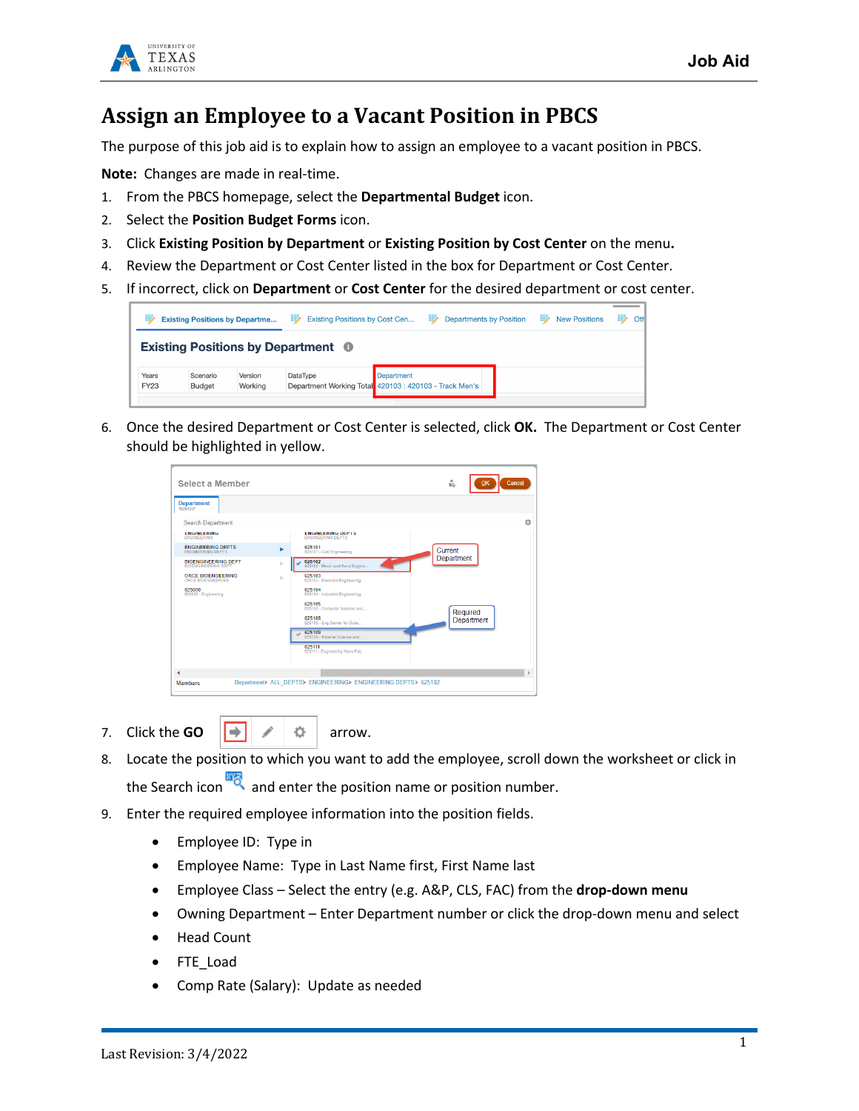



## **Assign an Employee to a Vacant Position in PBCS**

The purpose of this job aid is to explain how to assign an employee to a vacant position in PBCS.

**Note:** Changes are made in real-time.

- 1. From the PBCS homepage, select the **Departmental Budget** icon.
- 2. Select the **Position Budget Forms** icon.
- 3. Click **Existing Position by Department** or **Existing Position by Cost Center** on the menu**.**
- 4. Review the Department or Cost Center listed in the box for Department or Cost Center.
- 5. If incorrect, click on **Department** or **Cost Center** for the desired department or cost center.



6. Once the desired Department or Cost Center is selected, click **OK.** The Department or Cost Center should be highlighted in yellow.

| <b>Select a Member</b>                                   |    |                                                      | ů.<br>Cancel<br>OK |
|----------------------------------------------------------|----|------------------------------------------------------|--------------------|
| <b>Department</b><br>"625102"                            |    |                                                      |                    |
| <b>Search Department</b>                                 |    |                                                      |                    |
| <b>ENGINEERING</b><br><b>ENGINEERING</b>                 |    | <b>ENGINEERING DEPTS</b><br><b>ENGINEERING DEPTS</b> |                    |
| <b>ENGINEERING DEPTS</b><br><b>ENGINEERING DEPTS</b>     |    | 625101<br>625101 - Civil Engineering                 | Current            |
| <b>BIOENGINEERING DEPT</b><br><b>BIOENGINEERING DEPT</b> | þ. | 625102<br>625102 - Mech and Aero Engine              | Department         |
| <b>ORCE BIOENGEERING</b><br>ORCE BIOENGEERING            | ь  | 625103<br>625103 - Electrical Engineering            |                    |
| 625000<br>625000 - Engineering                           |    | 625104<br>625104 - Industrial Engineering            |                    |
|                                                          |    | 625105<br>625105 - Computer Science and              | Required           |
|                                                          |    | 625108<br>625108 - Eng Center for Dista              | Department         |
|                                                          |    | 625109<br>625109 - Material Science and              |                    |
|                                                          |    | 625111<br>625111 - Engineering Nano Fab              |                    |
|                                                          |    |                                                      |                    |
|                                                          |    |                                                      |                    |

- 7. Click the **GO**  $||\rightarrow||$   $\neq$   $||\rightarrow||$  arrow.
- 8. Locate the position to which you want to add the employee, scroll down the worksheet or click in the Search icon  $\frac{1}{\sqrt{2}}$  and enter the position name or position number.
- 9. Enter the required employee information into the position fields.
	- Employee ID: Type in
	- Employee Name: Type in Last Name first, First Name last
	- Employee Class Select the entry (e.g. A&P, CLS, FAC) from the **drop-down menu**
	- Owning Department Enter Department number or click the drop-down menu and select
	- Head Count
	- FTE\_Load
	- Comp Rate (Salary): Update as needed